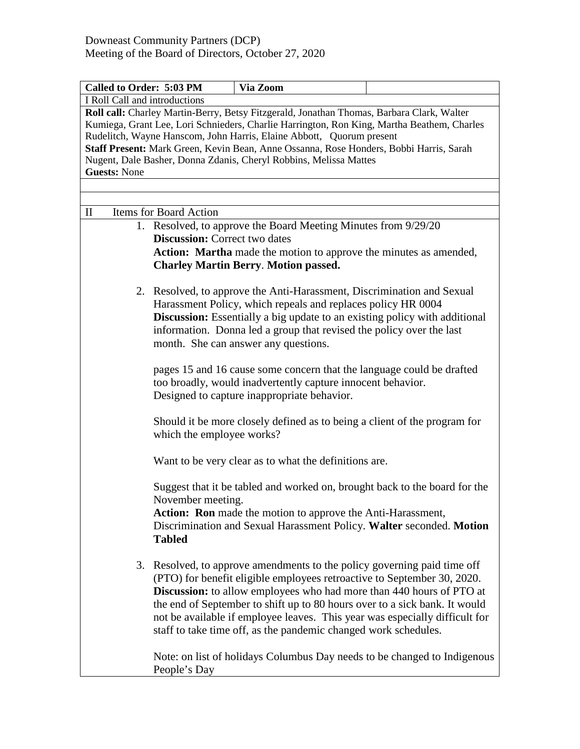| Called to Order: 5:03 PM                                                                                                                                                                                                                                                                                                                                                                                                                              | Via Zoom                                                                                                                                                                                                                                                                                                                                                                                                                                                        |                                                                          |  |  |  |
|-------------------------------------------------------------------------------------------------------------------------------------------------------------------------------------------------------------------------------------------------------------------------------------------------------------------------------------------------------------------------------------------------------------------------------------------------------|-----------------------------------------------------------------------------------------------------------------------------------------------------------------------------------------------------------------------------------------------------------------------------------------------------------------------------------------------------------------------------------------------------------------------------------------------------------------|--------------------------------------------------------------------------|--|--|--|
| I Roll Call and introductions                                                                                                                                                                                                                                                                                                                                                                                                                         |                                                                                                                                                                                                                                                                                                                                                                                                                                                                 |                                                                          |  |  |  |
| Roll call: Charley Martin-Berry, Betsy Fitzgerald, Jonathan Thomas, Barbara Clark, Walter<br>Kumiega, Grant Lee, Lori Schnieders, Charlie Harrington, Ron King, Martha Beathem, Charles<br>Rudelitch, Wayne Hanscom, John Harris, Elaine Abbott, Quorum present<br>Staff Present: Mark Green, Kevin Bean, Anne Ossanna, Rose Honders, Bobbi Harris, Sarah<br>Nugent, Dale Basher, Donna Zdanis, Cheryl Robbins, Melissa Mattes<br><b>Guests: None</b> |                                                                                                                                                                                                                                                                                                                                                                                                                                                                 |                                                                          |  |  |  |
|                                                                                                                                                                                                                                                                                                                                                                                                                                                       |                                                                                                                                                                                                                                                                                                                                                                                                                                                                 |                                                                          |  |  |  |
| $\mathbf{I}$<br>Items for Board Action                                                                                                                                                                                                                                                                                                                                                                                                                |                                                                                                                                                                                                                                                                                                                                                                                                                                                                 |                                                                          |  |  |  |
|                                                                                                                                                                                                                                                                                                                                                                                                                                                       | 1. Resolved, to approve the Board Meeting Minutes from 9/29/20                                                                                                                                                                                                                                                                                                                                                                                                  |                                                                          |  |  |  |
|                                                                                                                                                                                                                                                                                                                                                                                                                                                       | <b>Discussion:</b> Correct two dates                                                                                                                                                                                                                                                                                                                                                                                                                            |                                                                          |  |  |  |
|                                                                                                                                                                                                                                                                                                                                                                                                                                                       | Action: Martha made the motion to approve the minutes as amended,<br><b>Charley Martin Berry. Motion passed.</b>                                                                                                                                                                                                                                                                                                                                                |                                                                          |  |  |  |
|                                                                                                                                                                                                                                                                                                                                                                                                                                                       | 2. Resolved, to approve the Anti-Harassment, Discrimination and Sexual<br>Harassment Policy, which repeals and replaces policy HR 0004<br><b>Discussion:</b> Essentially a big update to an existing policy with additional<br>information. Donna led a group that revised the policy over the last<br>month. She can answer any questions.                                                                                                                     |                                                                          |  |  |  |
|                                                                                                                                                                                                                                                                                                                                                                                                                                                       | pages 15 and 16 cause some concern that the language could be drafted<br>too broadly, would inadvertently capture innocent behavior.<br>Designed to capture inappropriate behavior.                                                                                                                                                                                                                                                                             |                                                                          |  |  |  |
|                                                                                                                                                                                                                                                                                                                                                                                                                                                       | Should it be more closely defined as to being a client of the program for<br>which the employee works?                                                                                                                                                                                                                                                                                                                                                          |                                                                          |  |  |  |
|                                                                                                                                                                                                                                                                                                                                                                                                                                                       | Want to be very clear as to what the definitions are.                                                                                                                                                                                                                                                                                                                                                                                                           |                                                                          |  |  |  |
| November meeting.<br><b>Tabled</b>                                                                                                                                                                                                                                                                                                                                                                                                                    | Suggest that it be tabled and worked on, brought back to the board for the<br>Action: Ron made the motion to approve the Anti-Harassment,<br>Discrimination and Sexual Harassment Policy. Walter seconded. Motion                                                                                                                                                                                                                                               |                                                                          |  |  |  |
| 3.                                                                                                                                                                                                                                                                                                                                                                                                                                                    | Resolved, to approve amendments to the policy governing paid time off<br>(PTO) for benefit eligible employees retroactive to September 30, 2020.<br><b>Discussion:</b> to allow employees who had more than 440 hours of PTO at<br>the end of September to shift up to 80 hours over to a sick bank. It would<br>not be available if employee leaves. This year was especially difficult for<br>staff to take time off, as the pandemic changed work schedules. | Note: on list of holidays Columbus Day needs to be changed to Indigenous |  |  |  |
| People's Day                                                                                                                                                                                                                                                                                                                                                                                                                                          |                                                                                                                                                                                                                                                                                                                                                                                                                                                                 |                                                                          |  |  |  |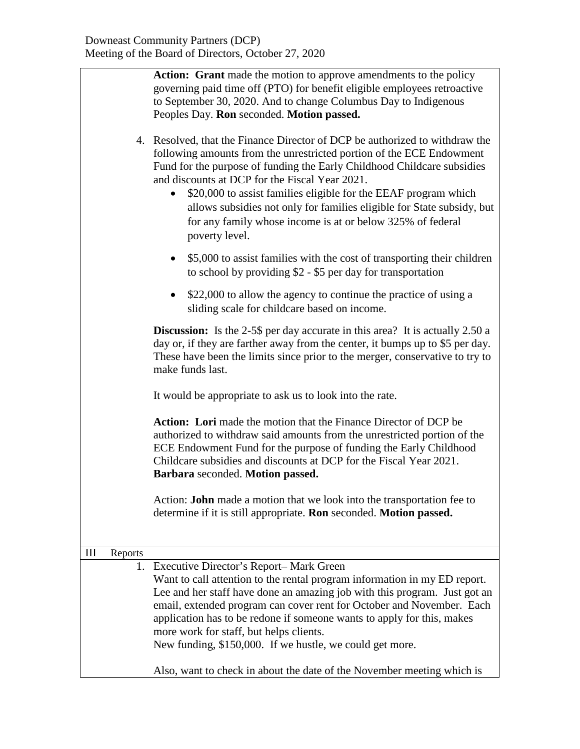|   |                                                                                                                                        | Action: Grant made the motion to approve amendments to the policy<br>governing paid time off (PTO) for benefit eligible employees retroactive<br>to September 30, 2020. And to change Columbus Day to Indigenous<br>Peoples Day. Ron seconded. Motion passed.<br>4. Resolved, that the Finance Director of DCP be authorized to withdraw the<br>following amounts from the unrestricted portion of the ECE Endowment<br>Fund for the purpose of funding the Early Childhood Childcare subsidies<br>and discounts at DCP for the Fiscal Year 2021.<br>\$20,000 to assist families eligible for the EEAF program which<br>allows subsidies not only for families eligible for State subsidy, but<br>for any family whose income is at or below 325% of federal<br>poverty level. |  |  |
|---|----------------------------------------------------------------------------------------------------------------------------------------|--------------------------------------------------------------------------------------------------------------------------------------------------------------------------------------------------------------------------------------------------------------------------------------------------------------------------------------------------------------------------------------------------------------------------------------------------------------------------------------------------------------------------------------------------------------------------------------------------------------------------------------------------------------------------------------------------------------------------------------------------------------------------------|--|--|
|   | \$5,000 to assist families with the cost of transporting their children<br>to school by providing $$2 - $5$ per day for transportation |                                                                                                                                                                                                                                                                                                                                                                                                                                                                                                                                                                                                                                                                                                                                                                                |  |  |
|   |                                                                                                                                        | \$22,000 to allow the agency to continue the practice of using a<br>sliding scale for childcare based on income.                                                                                                                                                                                                                                                                                                                                                                                                                                                                                                                                                                                                                                                               |  |  |
|   |                                                                                                                                        | <b>Discussion:</b> Is the 2-5\$ per day accurate in this area? It is actually 2.50 a<br>day or, if they are farther away from the center, it bumps up to \$5 per day.<br>These have been the limits since prior to the merger, conservative to try to<br>make funds last.                                                                                                                                                                                                                                                                                                                                                                                                                                                                                                      |  |  |
|   |                                                                                                                                        | It would be appropriate to ask us to look into the rate.                                                                                                                                                                                                                                                                                                                                                                                                                                                                                                                                                                                                                                                                                                                       |  |  |
|   |                                                                                                                                        | <b>Action:</b> Lori made the motion that the Finance Director of DCP be<br>authorized to withdraw said amounts from the unrestricted portion of the<br>ECE Endowment Fund for the purpose of funding the Early Childhood<br>Childcare subsidies and discounts at DCP for the Fiscal Year 2021.<br>Barbara seconded. Motion passed.                                                                                                                                                                                                                                                                                                                                                                                                                                             |  |  |
|   |                                                                                                                                        | Action: <b>John</b> made a motion that we look into the transportation fee to<br>determine if it is still appropriate. Ron seconded. Motion passed.                                                                                                                                                                                                                                                                                                                                                                                                                                                                                                                                                                                                                            |  |  |
| Ш | Reports                                                                                                                                |                                                                                                                                                                                                                                                                                                                                                                                                                                                                                                                                                                                                                                                                                                                                                                                |  |  |
|   |                                                                                                                                        | 1. Executive Director's Report-Mark Green<br>Want to call attention to the rental program information in my ED report.<br>Lee and her staff have done an amazing job with this program. Just got an<br>email, extended program can cover rent for October and November. Each<br>application has to be redone if someone wants to apply for this, makes<br>more work for staff, but helps clients.<br>New funding, \$150,000. If we hustle, we could get more.                                                                                                                                                                                                                                                                                                                  |  |  |
|   |                                                                                                                                        | Also, want to check in about the date of the November meeting which is                                                                                                                                                                                                                                                                                                                                                                                                                                                                                                                                                                                                                                                                                                         |  |  |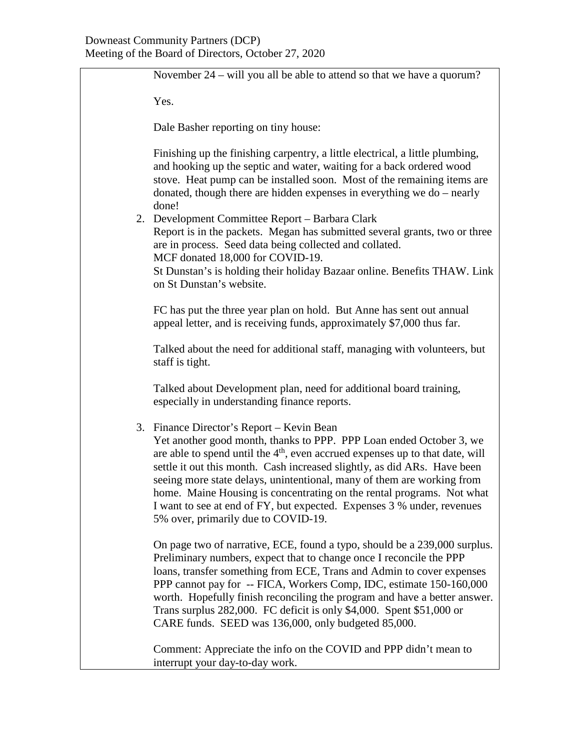November 24 – will you all be able to attend so that we have a quorum? Yes. Dale Basher reporting on tiny house: Finishing up the finishing carpentry, a little electrical, a little plumbing, and hooking up the septic and water, waiting for a back ordered wood stove. Heat pump can be installed soon. Most of the remaining items are donated, though there are hidden expenses in everything we do – nearly done! 2. Development Committee Report – Barbara Clark Report is in the packets. Megan has submitted several grants, two or three are in process. Seed data being collected and collated. MCF donated 18,000 for COVID-19. St Dunstan's is holding their holiday Bazaar online. Benefits THAW. Link on St Dunstan's website. FC has put the three year plan on hold. But Anne has sent out annual appeal letter, and is receiving funds, approximately \$7,000 thus far. Talked about the need for additional staff, managing with volunteers, but staff is tight. Talked about Development plan, need for additional board training, especially in understanding finance reports. 3. Finance Director's Report – Kevin Bean Yet another good month, thanks to PPP. PPP Loan ended October 3, we are able to spend until the  $4<sup>th</sup>$ , even accrued expenses up to that date, will settle it out this month. Cash increased slightly, as did ARs. Have been seeing more state delays, unintentional, many of them are working from home. Maine Housing is concentrating on the rental programs. Not what I want to see at end of FY, but expected. Expenses 3 % under, revenues 5% over, primarily due to COVID-19. On page two of narrative, ECE, found a typo, should be a 239,000 surplus. Preliminary numbers, expect that to change once I reconcile the PPP loans, transfer something from ECE, Trans and Admin to cover expenses PPP cannot pay for -- FICA, Workers Comp, IDC, estimate 150-160,000 worth. Hopefully finish reconciling the program and have a better answer. Trans surplus 282,000. FC deficit is only \$4,000. Spent \$51,000 or CARE funds. SEED was 136,000, only budgeted 85,000. Comment: Appreciate the info on the COVID and PPP didn't mean to

interrupt your day-to-day work.